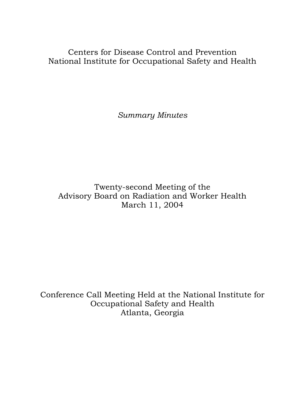Centers for Disease Control and Prevention National Institute for Occupational Safety and Health

*Summary Minutes* 

Twenty-second Meeting of the Advisory Board on Radiation and Worker Health March 11, 2004

Conference Call Meeting Held at the National Institute for Occupational Safety and Health Atlanta, Georgia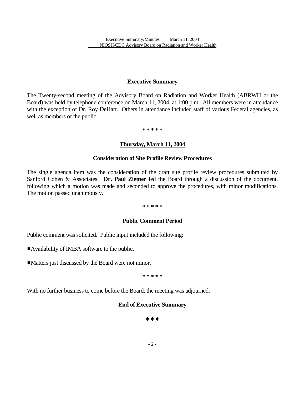Executive Summary/Minutes March 11, 2004 NIOSH/CDC Advisory Board on Radiation and Worker Health

#### **Executive Summary**

The Twenty-second meeting of the Advisory Board on Radiation and Worker Health (ABRWH or the Board) was held by telephone conference on March 11, 2004, at 1:00 p.m. All members were in attendance with the exception of Dr. Roy DeHart. Others in attendance included staff of various Federal agencies, as well as members of the public.

**\* \* \* \* \***

### **Thursday, March 11, 2004**

### **Consideration of Site Profile Review Procedures**

The single agenda item was the consideration of the draft site profile review procedures submitted by Sanford Cohen & Associates. **Dr. Paul Ziemer** led the Board through a discussion of the document, following which a motion was made and seconded to approve the procedures, with minor modifications. The motion passed unanimously.

#### **\* \* \* \* \***

## **Public Comment Period**

Public comment was solicited. Public input included the following:

■Availability of IMBA software to the public.

Matters just discussed by the Board were not minor.

**\* \* \* \* \*** 

With no further business to come before the Board, the meeting was adjourned.

## **End of Executive Summary**

## $\blacklozenge\blacklozenge\blacklozenge$

- 2 -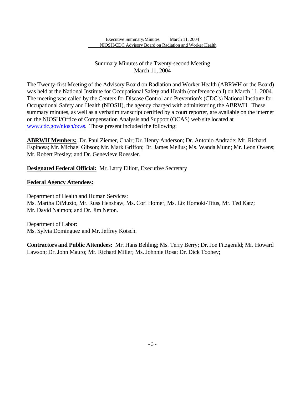Executive Summary/Minutes March 11, 2004 NIOSH/CDC Advisory Board on Radiation and Worker Health

# Summary Minutes of the Twenty-second Meeting March 11, 2004

The Twenty-first Meeting of the Advisory Board on Radiation and Worker Health (ABRWH or the Board) was held at the National Institute for Occupational Safety and Health (conference call) on March 11, 2004. The meeting was called by the Centers for Disease Control and Prevention's (CDC's) National Institute for Occupational Safety and Health (NIOSH), the agency charged with administering the ABRWH. These summary minutes, as well as a verbatim transcript certified by a court reporter, are available on the internet on the NIOSH/Office of Compensation Analysis and Support (OCAS) web site located at www.cdc.gov/niosh/ocas. Those present included the following:

**ABRWH Members:** Dr. Paul Ziemer, Chair; Dr. Henry Anderson; Dr. Antonio Andrade; Mr. Richard Espinosa; Mr. Michael Gibson; Mr. Mark Griffon; Dr. James Melius; Ms. Wanda Munn; Mr. Leon Owens; Mr. Robert Presley; and Dr. Genevieve Roessler.

**Designated Federal Official:** Mr. Larry Elliott, Executive Secretary

## **Federal Agency Attendees:**

Department of Health and Human Services: Ms. Martha DiMuzio, Mr. Russ Henshaw, Ms. Cori Homer, Ms. Liz Homoki-Titus, Mr. Ted Katz; Mr. David Naimon; and Dr. Jim Neton.

Department of Labor: Ms. Sylvia Dominguez and Mr. Jeffrey Kotsch.

**Contractors and Public Attendees:** Mr. Hans Behling; Ms. Terry Berry; Dr. Joe Fitzgerald; Mr. Howard Lawson; Dr. John Mauro; Mr. Richard Miller; Ms. Johnnie Rosa; Dr. Dick Toohey;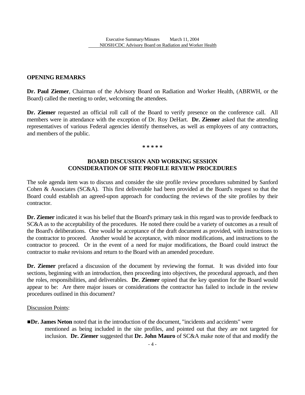## **OPENING REMARKS**

**Dr. Paul Ziemer**, Chairman of the Advisory Board on Radiation and Worker Health, (ABRWH, or the Board) called the meeting to order, welcoming the attendees.

**Dr. Ziemer** requested an official roll call of the Board to verify presence on the conference call. All members were in attendance with the exception of Dr. Roy DeHart. **Dr. Ziemer** asked that the attending representatives of various Federal agencies identify themselves, as well as employees of any contractors, and members of the public.

**\* \* \* \* \***

## **BOARD DISCUSSION AND WORKING SESSION CONSIDERATION OF SITE PROFILE REVIEW PROCEDURES**

The sole agenda item was to discuss and consider the site profile review procedures submitted by Sanford Cohen & Associates (SC&A). This first deliverable had been provided at the Board's request so that the Board could establish an agreed-upon approach for conducting the reviews of the site profiles by their contractor.

**Dr. Ziemer** indicated it was his belief that the Board's primary task in this regard was to provide feedback to SC&A as to the acceptability of the procedures. He noted there could be a variety of outcomes as a result of the Board's deliberations. One would be acceptance of the draft document as provided, with instructions to the contractor to proceed. Another would be acceptance, with minor modifications, and instructions to the contractor to proceed. Or in the event of a need for major modifications, the Board could instruct the contractor to make revisions and return to the Board with an amended procedure.

**Dr. Ziemer** prefaced a discussion of the document by reviewing the format. It was divided into four sections, beginning with an introduction, then proceeding into objectives, the procedural approach, and then the roles, responsibilities, and deliverables. **Dr. Ziemer** opined that the key question for the Board would appear to be: Are there major issues or considerations the contractor has failed to include in the review procedures outlined in this document?

## Discussion Points:

**IDr. James Neton** noted that in the introduction of the document, "incidents and accidents" were mentioned as being included in the site profiles, and pointed out that they are not targeted for inclusion. **Dr. Ziemer** suggested that **Dr. John Mauro** of SC&A make note of that and modify the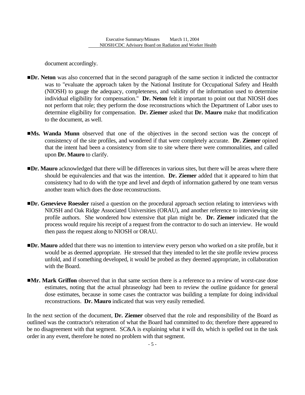document accordingly.

- **IDr. Neton** was also concerned that in the second paragraph of the same section it indicted the contractor was to "evaluate the approach taken by the National Institute for Occupational Safety and Health (NIOSH) to gauge the adequacy, completeness, and validity of the information used to determine individual eligibility for compensation." **Dr. Neton** felt it important to point out that NIOSH does not perform that role; they perform the dose reconstructions which the Department of Labor uses to determine eligibility for compensation. **Dr. Ziemer** asked that **Dr. Mauro** make that modification to the document, as well.
- **Ms. Wanda Munn** observed that one of the objectives in the second section was the concept of consistency of the site profiles, and wondered if that were completely accurate. **Dr. Ziemer** opined that the intent had been a consistency from site to site where there were commonalities, and called upon **Dr. Mauro** to clarify.
- **IDr. Mauro** acknowledged that there will be differences in various sites, but there will be areas where there should be equivalencies and that was the intention. **Dr. Ziemer** added that it appeared to him that consistency had to do with the type and level and depth of information gathered by one team versus another team which does the dose reconstructions.
- **IDr. Genevieve Roessler** raised a question on the procedural approach section relating to interviews with NIOSH and Oak Ridge Associated Universities (ORAU), and another reference to interviewing site profile authors. She wondered how extensive that plan might be. **Dr. Ziemer** indicated that the process would require his receipt of a request from the contractor to do such an interview. He would then pass the request along to NIOSH or ORAU.
- **IDr. Mauro** added that there was no intention to interview every person who worked on a site profile, but it would be as deemed appropriate. He stressed that they intended to let the site profile review process unfold, and if something developed, it would be probed as they deemed appropriate, in collaboration with the Board.
- **IMr. Mark Griffon** observed that in that same section there is a reference to a review of worst-case dose estimates, noting that the actual phraseology had been to review the outline guidance for general dose estimates, because in some cases the contractor was building a template for doing individual reconstructions. **Dr. Mauro** indicated that was very easily remedied.

In the next section of the document, **Dr. Ziemer** observed that the role and responsibility of the Board as outlined was the contractor's reiteration of what the Board had committed to do; therefore there appeared to be no disagreement with that segment. SC&A is explaining what it will do, which is spelled out in the task order in any event, therefore he noted no problem with that segment.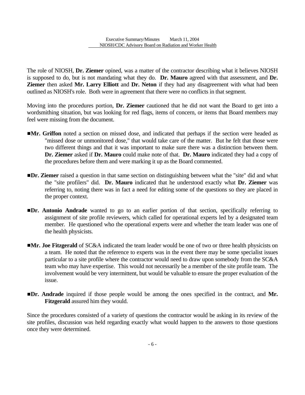The role of NIOSH, **Dr. Ziemer** opined, was a matter of the contractor describing what it believes NIOSH is supposed to do, but is not mandating what they do. **Dr. Mauro** agreed with that assessment, and **Dr. Ziemer** then asked **Mr. Larry Elliott** and **Dr. Neton** if they had any disagreement with what had been outlined as NIOSH's role. Both were in agreement that there were no conflicts in that segment.

Moving into the procedures portion, **Dr. Ziemer** cautioned that he did not want the Board to get into a wordsmithing situation, but was looking for red flags, items of concern, or items that Board members may feel were missing from the document.

- **IMr. Griffon** noted a section on missed dose, and indicated that perhaps if the section were headed as "missed dose or unmonitored dose," that would take care of the matter. But he felt that those were two different things and that it was important to make sure there was a distinction between them. **Dr. Ziemer** asked if **Dr. Mauro** could make note of that. **Dr. Mauro** indicated they had a copy of the procedures before them and were marking it up as the Board commented.
- **IDr. Ziemer** raised a question in that same section on distinguishing between what the "site" did and what the "site profilers" did. **Dr. Mauro** indicated that he understood exactly what **Dr. Ziemer** was referring to, noting there was in fact a need for editing some of the questions so they are placed in the proper context.
- **IDr. Antonio Andrade** wanted to go to an earlier portion of that section, specifically referring to assignment of site profile reviewers, which called for operational experts led by a designated team member. He questioned who the operational experts were and whether the team leader was one of the health physicists.
- **IMr. Joe Fitzgerald** of SC&A indicated the team leader would be one of two or three health physicists on a team. He noted that the reference to experts was in the event there may be some specialist issues particular to a site profile where the contractor would need to draw upon somebody from the SC&A team who may have expertise. This would not necessarily be a member of the site profile team. The involvement would be very intermittent, but would be valuable to ensure the proper evaluation of the issue.
- #**Dr. Andrade** inquired if those people would be among the ones specified in the contract, and **Mr. Fitzgerald** assured him they would.

Since the procedures consisted of a variety of questions the contractor would be asking in its review of the site profiles, discussion was held regarding exactly what would happen to the answers to those questions once they were determined.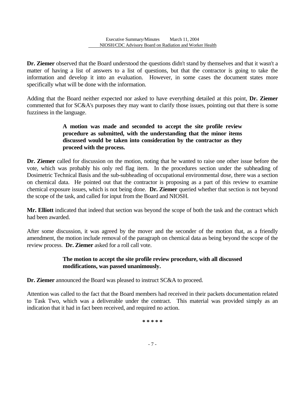**Dr. Ziemer** observed that the Board understood the questions didn't stand by themselves and that it wasn't a matter of having a list of answers to a list of questions, but that the contractor is going to take the information and develop it into an evaluation. However, in some cases the document states more specifically what will be done with the information.

Adding that the Board neither expected nor asked to have everything detailed at this point, **Dr. Ziemer**  commented that for SC&A's purposes they may want to clarify those issues, pointing out that there is some fuzziness in the language.

# **A motion was made and seconded to accept the site profile review procedure as submitted, with the understanding that the minor items discussed would be taken into consideration by the contractor as they proceed with the process.**

 vote, which was probably his only red flag item. In the procedures section under the subheading of **Dr. Ziemer** called for discussion on the motion, noting that he wanted to raise one other issue before the Dosimetric Technical Basis and the sub-subheading of occupational environmental dose, there was a section on chemical data. He pointed out that the contractor is proposing as a part of this review to examine chemical exposure issues, which is not being done. **Dr. Ziemer** queried whether that section is not beyond the scope of the task, and called for input from the Board and NIOSH.

**Mr. Elliott** indicated that indeed that section was beyond the scope of both the task and the contract which had been awarded.

After some discussion, it was agreed by the mover and the seconder of the motion that, as a friendly amendment, the motion include removal of the paragraph on chemical data as being beyond the scope of the review process. **Dr. Ziemer** asked for a roll call vote.

# **The motion to accept the site profile review procedure, with all discussed modifications, was passed unanimously.**

**Dr. Ziemer** announced the Board was pleased to instruct SC&A to proceed.

Attention was called to the fact that the Board members had received in their packets documentation related to Task Two, which was a deliverable under the contract. This material was provided simply as an indication that it had in fact been received, and required no action.

**\* \* \* \* \*** 

- 7 -